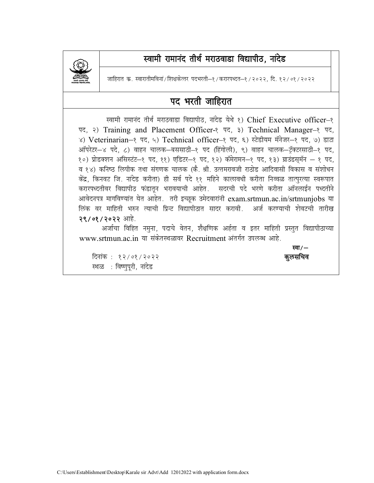

## स्वामी रामानंद तीर्थ मराठवाडा विद्यापीठ, नांदेड

जाहिरात क. स्वारातीमविनां/शिक्षकेत्तर पदभरती—१/करारपध्दत—१/२०२२. दि. १२/०१/२०२२

### पद भरती जाहिरात

स्वामी रामानंद तीर्थ मराठवाडा विद्यापीठ, नांदेड येथे १) Chief Executive officer-१ पद, २) Training and Placement Officer-१ पद, ३) Technical Manager-१ पद, ४) Veterinarian-१ पद, ५) Technical officer-१ पद, ६) स्टेडीयम मॅनेजर-१ पद, ७) डाटा आँपरेटर-४ पदे, ८) वाहन चालक-बससाठी-१ पद (हिंगोली), ९) वाहन चालक-टॅक्टरसाठी-१ पद, १०) प्रोडक्शन असिस्टंट-१ पद, ११) एडिटर-१ पद, १२) कॅमेरामन-१ पद, १३) ग्राउंडस्मॅन - १ पद, व १४) कनिष्ठ लिपीक तथा संगणक चालक (कै. श्री. उत्तमरावजी राठोड आदिवासी विकास व संशोधन केंद्र, किनवट जि. नांदेड करीता) ही सर्व पदे ११ महिने कालावधी करीता निव्वळ तात्पुरत्या स्वरूपात करारपध्दतीवर विद्यापीठ फंडातून भरावयाची आहेत. सदरची पदे भरणे करीता ऑनलाईन पध्दतीने आवेदनपत्र मागविण्यांत येत आहेत. तरी इच्छूक उमेदवारांनी exam.srtmun.ac.in/srtmunjobs या लिंक वर माहिती भरुन त्याची प्रिन्ट विद्यापीठात सादर करावी. अर्ज करण्याची शेवटची तारीख २९/०१/२०२२ आहे.

अर्जाचा विहित नमूना, पदाचे वेतन, शैक्षणिक अर्हता व इतर माहिती प्रस्तुत विद्यापीठाच्या [www.srtmun.ac.in](http://www.srtmun.ac.in) या संकेतस्थळावर Recruitment अंतर्गत उपलब्ध आहे.

स्था / — स्था / — स्था / — स्था / — स्था / — स्था / — स्था / — स्था / — स्था / — स्था / — स्था / — स्था / — स्<br>स्था / — स्था जाताता के साथ प्रकाश के साथ प्रकाश कर रही है। अस्मा के साथ प्रकाश के साथ प्रकाश कर रही है। अस्

fnukad % 12@01@2022 **d qylfpo** स्थळ : विष्णुपूरी, नांदेड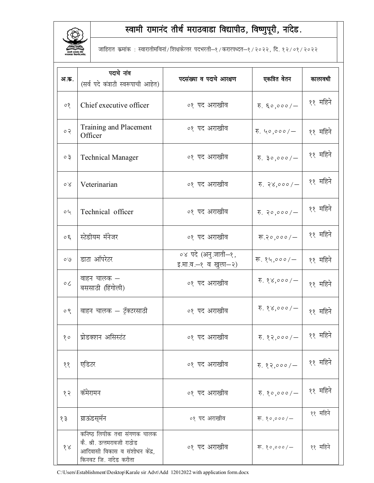

# स्वामी रामानंद तीर्थ मराठवाडा विद्यापीठ, विष्णुपूरी, नांदेड.

जाहिरात कमांक : स्वारातीमविनां/शिक्षकेत्तर पदभरती-१/करारपध्दत-१/२०२२, दि. १२/०१/२०२२

| अ.क.                     | पदाचे नांव<br>(सर्व पदे कंत्राटी स्वरूपाची आहेत)                                                                      | पदसंख्या व पदाचे आरक्षण                    | एकत्रित वेतन                   | कालावधी  |
|--------------------------|-----------------------------------------------------------------------------------------------------------------------|--------------------------------------------|--------------------------------|----------|
| $\delta$                 | Chief executive officer                                                                                               | ०१ पद अराखीव                               | $\overline{v}$ . $\xi$ o,000/- | ११ महिने |
| $\circ$ $\circ$          | Training and Placement<br>Officer                                                                                     | ०१ पद अराखीव                               | $\overline{v}$ . ५०,०००/-      | ११ महिने |
| 50                       | <b>Technical Manager</b>                                                                                              | ०१ पद अराखीव                               | $\overline{v}$ . ३०,०००/-      | ११ महिने |
| $\delta$                 | Veterinarian                                                                                                          | ०१ पद अराखीव                               | $\overline{v}$ . २४,०००/-      | ११ महिने |
| 0 <sub>q</sub>           | Technical officer                                                                                                     | ०१ पद अराखीव                               | $\overline{v}$ . २०,०००/-      | ११ महिने |
| 50                       | स्टेडीयम मॅनेजर                                                                                                       | ०१ पद अराखीव                               | रू.२०,०००/ $-$                 | ११ महिने |
| O <sub>O</sub>           | डाटा ऑपरेटर                                                                                                           | ०४ पदे (अनु.जाती–१,<br>इ.मा.व.–१ व खुला–२) | रू. १५,०००/–                   | ११ महिने |
| $\circ c$                | वाहन चालक —<br>बससाठी (हिंगोली)                                                                                       | ०१ पद अराखीव                               | 5.88,000/                      | ११ महिने |
| $\circ$ $\circ$          | वाहन चालक — ट्रॅक्टरसाठी                                                                                              | ०१ पद अराखीव                               | $\overline{v}$ . १४,०००/–      | ११ महिने |
| 80                       | प्रोडक्शन असिस्टंट                                                                                                    | ०१ पद अराखीव                               | रु. १२,०००/ $-$                | ११ महिने |
| $\mathcal{S}\mathcal{S}$ | एडिटर                                                                                                                 | ०१ पद अराखीव                               | $\overline{v}$ . १२,०००/-      | ११ महिने |
| १२                       | कॅमेरामन                                                                                                              | ०१ पद अराखीव                               | $\overline{6}$ . १०,०००/-      | ११ महिने |
| १३                       | ग्राऊंडस्मॅन                                                                                                          | ०१ पद अराखीव                               | रू. १०,०००/ $-$                | ११ महिने |
| 88                       | कनिष्ठ लिपीक तथा संगणक चालक<br>कै. श्री. उत्तमरावजी राठोड<br>आदिवासी विकास व संशोधन केंद्र,<br>किनवट जि. नांदेड करीता | ०१ पद अराखीव                               | रू. १०,०००/ $-$                | ११ महिने |

C:\Users\Establishment\Desktop\Karale sir Advt\Add 12012022 with application form.docx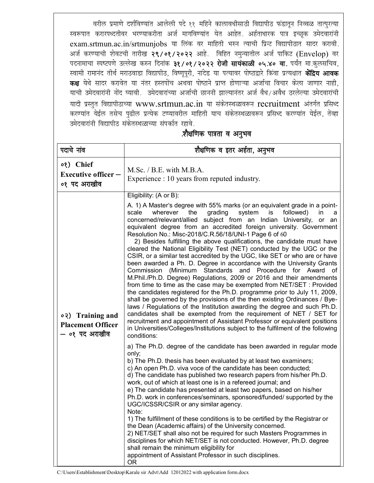वरील प्रमाणे दर्शविण्यांत आलेली पदे ११ महिने कालावधीसाठी विद्यापीठ फंडातून निव्वळ तात्पुरत्या स्वरूपात करारपध्दतीवर भरण्याकरीता अर्ज मागविण्यांत येत आहेत. अर्हताधारक पात्र इच्छूक उमेदवारांनी exam.srtmun.ac.in/srtmunjobs या लिंक वर माहिती भरुन त्याची प्रिन्ट विद्यापीठात सादर करावी. अर्ज करण्याची शेवटची तारीख २९/०१/२०२२ आहे. विहित नमन्यातील अर्ज पाकिट (Envelop) वर पदनामाचा स्पष्टपणे उल्लेख करुन दिनांक ३१/०१/२०२२ रोजी सायंकाळी ०५.४० वा. पर्यंत मा.कुलसचिव, स्वामी रामानंद तीर्थ मराठवाडा विद्यापीठ, विष्णूपूरी, नांदेड या पत्यावर पोष्टाद्वारे किंवा प्रत्यक्षात **केंद्रिय आवक** कक्ष येथे सादर करावेत या नंतर हस्तपोंच अथवा पोष्टाने प्राप्त होणाऱ्या अर्जाचा विचार केला जाणार नाही, याची उमेदवारांनी नोंद घ्यावी. उमेदवारांच्या अर्जाची छाननी झाल्यानंतर अर्ज वैध/अवैध ठरलेल्या उमेदवारांची यादी प्रस्तुत विद्यापीठाच्या www.srtmun.ac.in या संकेतस्थळावरून recruitment अंतर्गत प्रसिध्द करण्यांत येईल तसेच पुढील प्रत्येक टप्प्यावरील माहिती याच संकेतस्थळावरून प्रसिध्द करण्यांत येईल, तेंव्हा उमेदवारांनी विद्यापीठ संकेतस्थळाच्या संपर्कात रहावे.

#### .शैक्षणिक पात्रता व अनुभव

| पदाचे नांव                                                     | शैक्षणिक व इतर अर्हता, अनुभव                                                                                                                                                                                                                                                                                                                                                                                                                                                                                                                                                                                                                                                                                                                                                                                                                                                                                                                                                                                                                                                                                                                                                                                                                                                                                     |
|----------------------------------------------------------------|------------------------------------------------------------------------------------------------------------------------------------------------------------------------------------------------------------------------------------------------------------------------------------------------------------------------------------------------------------------------------------------------------------------------------------------------------------------------------------------------------------------------------------------------------------------------------------------------------------------------------------------------------------------------------------------------------------------------------------------------------------------------------------------------------------------------------------------------------------------------------------------------------------------------------------------------------------------------------------------------------------------------------------------------------------------------------------------------------------------------------------------------------------------------------------------------------------------------------------------------------------------------------------------------------------------|
| 08) Chief<br>Executive officer -<br>०१ पद अराखीव               | M.Sc. / B.E. with M.B.A.<br>Experience : 10 years from reputed industry.                                                                                                                                                                                                                                                                                                                                                                                                                                                                                                                                                                                                                                                                                                                                                                                                                                                                                                                                                                                                                                                                                                                                                                                                                                         |
|                                                                | Eligibility: (A or B):<br>A. 1) A Master's degree with 55% marks (or an equivalent grade in a point-                                                                                                                                                                                                                                                                                                                                                                                                                                                                                                                                                                                                                                                                                                                                                                                                                                                                                                                                                                                                                                                                                                                                                                                                             |
| 02) Training and<br><b>Placement Officer</b><br>— ०१ पद अराखीव | wherever<br>the<br>grading<br>system<br>is<br>followed)<br>scale<br>in<br>a<br>concerned/relevant/allied subject from an Indian University,<br>or<br>an<br>equivalent degree from an accredited foreign university. Government<br>Resolution No.: Misc-2018/C.R.56/18/UNI-1 Page 6 of 60<br>2) Besides fulfilling the above qualifications, the candidate must have<br>cleared the National Eligibility Test (NET) conducted by the UGC or the<br>CSIR, or a similar test accredited by the UGC, like SET or who are or have<br>been awarded a Ph. D. Degree in accordance with the University Grants<br>Commission (Minimum Standards and Procedure for Award of<br>M.Phil./Ph.D. Degree) Regulations, 2009 or 2016 and their amendments<br>from time to time as the case may be exempted from NET/SET : Provided<br>the candidates registered for the Ph.D. programme prior to July 11, 2009,<br>shall be governed by the provisions of the then existing Ordinances / Bye-<br>laws / Regulations of the Institution awarding the degree and such Ph.D.<br>candidates shall be exempted from the requirement of NET / SET for<br>recruitment and appointment of Assistant Professor or equivalent positions<br>in Universities/Colleges/Institutions subject to the fulfilment of the following<br>conditions: |
|                                                                | a) The Ph.D. degree of the candidate has been awarded in regular mode<br>only;<br>b) The Ph.D. thesis has been evaluated by at least two examiners;<br>c) An open Ph.D. viva voce of the candidate has been conducted;<br>d) The candidate has published two research papers from his/her Ph.D.<br>work, out of which at least one is in a refereed journal; and<br>e) The candidate has presented at least two papers, based on his/her<br>Ph.D. work in conferences/seminars, sponsored/funded/ supported by the<br>UGC/ICSSR/CSIR or any similar agency.<br>Note:<br>1) The fulfillment of these conditions is to be certified by the Registrar or<br>the Dean (Academic affairs) of the University concerned.<br>2) NET/SET shall also not be required for such Masters Programmes in<br>disciplines for which NET/SET is not conducted. However, Ph.D. degree<br>shall remain the minimum eligibility for<br>appointment of Assistant Professor in such disciplines.<br>0R                                                                                                                                                                                                                                                                                                                                  |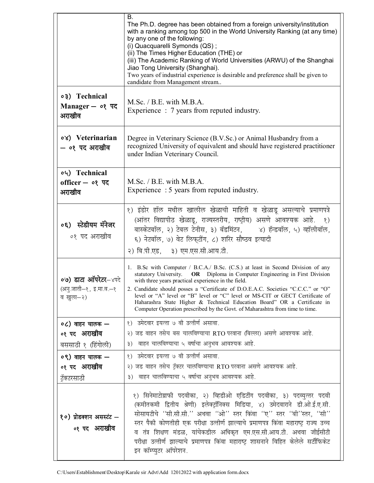|                                                             | В.<br>The Ph.D. degree has been obtained from a foreign university/institution<br>with a ranking among top 500 in the World University Ranking (at any time)<br>by any one of the following:<br>(i) Quacquarelli Symonds (QS);<br>(ii) The Times Higher Education (THE) or<br>(iii) The Academic Ranking of World Universities (ARWU) of the Shanghai<br>Jiao Tong University (Shanghai).<br>Two years of industrial experience is desirable and preference shall be given to<br>candidate from Management stream                                         |
|-------------------------------------------------------------|-----------------------------------------------------------------------------------------------------------------------------------------------------------------------------------------------------------------------------------------------------------------------------------------------------------------------------------------------------------------------------------------------------------------------------------------------------------------------------------------------------------------------------------------------------------|
| ०३) Technical<br>Manager $ \circ$ पद<br>अराखीव              | M.Sc. / B.E. with M.B.A.<br>Experience : 7 years from reputed industry.                                                                                                                                                                                                                                                                                                                                                                                                                                                                                   |
| 08) Veterinarian<br>– ०१ पद अराखीव                          | Degree in Veterinary Science (B.V.Sc.) or Animal Husbandry from a<br>recognized University of equivalent and should have registered practitioner<br>under Indian Veterinary Council.                                                                                                                                                                                                                                                                                                                                                                      |
| 04) Technical<br>officer - ०१ पद<br>अराखीव                  | M.Sc. / B.E. with M.B.A.<br>Experience : 5 years from reputed industry.                                                                                                                                                                                                                                                                                                                                                                                                                                                                                   |
| ०६) स्टेडीयम मॅनेजर<br>०१ पद अराखीव                         | १) इंडोर हॉल मधील खालील खेळाची माहिती व खेळाडू असल्याचे प्रमाणपत्रे<br>(आंतर विद्यापीठ खेळाडू, राज्यस्तरीय, राष्ट्रीय) असणे आवश्यक आहे. १)<br>बास्केटबॉल, २) टेबल टेनीस, ३) बॅडमिंटन, बार) हॅन्डबॉल, ५) व्हॉलीबॉल,<br>६) नेटबॉल, ७) वेट लिफ्टींग, ८) शरिर सौष्ठव इत्यादी<br>२) बि.पी.एड, ३) एम.एस.सी.आय.टी.                                                                                                                                                                                                                                               |
| ०७) डाटा ऑपरेटर–४पदे<br>(अनु.जाती—१, इ.मा.व.—१<br>व खुला-२) | 1. B.Sc with Computer / B.C.A./ B.Sc. (C.S.) at least in Second Division of any<br>statutory University.<br>OR Diploma in Computer Engineering in First Division<br>with three years practical experience in the field.<br>2. Candidate should posses a "Certificate of D.O.E.A.C. Societies "C.C.C." or "O"<br>level or "A" level or "B" level or "C" level or MS-CIT or GECT Certificate of<br>Haharashra State Higher & Technical Education Board" OR a Certificate in<br>Computer Operation prescribed by the Govt. of Maharashtra from time to time. |
| $\circ$ ) वाहन चालक —<br>०१ पद अराखीव<br>बससाठी १ (हिंगोली) | १) उमेदवार इयत्ता ७ वी उत्तीर्ण असावा.<br>२) जड वाहन तसेच बस चालविण्याचा RTO परवाना (बिल्ला) असणे आवश्यक आहे.<br>३) वाहन चालविण्याचा ५ वर्षाचा अनुभव आवश्यक आहे.                                                                                                                                                                                                                                                                                                                                                                                          |
| ०९) वाहन चालक —<br>०१ पद अराखीव<br>टॅक्टरसाठी               | १) उमेदवार इयत्ता ७ वी उत्तीर्ण असावा.<br>२) जड वाहन तसेच ट्रॅक्टर चालविण्याचा RTO परवाना असणे आवश्यक आहे.<br>वाहन चालविण्याचा ५ वर्षाचा अनुभव आवश्यक आहे.<br>$\mathfrak{z}$ )                                                                                                                                                                                                                                                                                                                                                                            |
| १०) प्रोडक्शन असस्टंट —<br>०१ पद अराखीव                     | १) सिनेमाटोग्राफी पदवीका, २) व्हिडीओ एडिटींग पदवीका, ३) पदव्युत्तर पदवी<br>(कमीतकमी द्वितीय श्रेणी) इलेक्ट्रॉनिक्स मिडिया, ४) उमेदवाराने डी.ओ.ई.ए.सी.<br>सोसायटीचे ''सी.सी.सी.'' अथवा ''ओ'' स्तर किंवा ''ए'' स्तर ''बी''स्तर, ''सी''<br>स्तर पैकी कोणतीही एक परीक्षा उत्तीर्ण झाल्याचे प्रमाणपत्र किंवा महाराष्ट्र राज्य उच्च<br>व तंत्र शिक्षण मंडळ, यांचेकडील अधिकृत एम.एस.सी.आय.टी. अथवा जीईसीटी<br>परीक्षा उत्तीर्ण झाल्याचे प्रमाणपत्र किंवा महाराष्ट्र शासनाने विहित केलेले सर्टीफिकेट<br>इन कॉम्प्युटर ऑपरेशन.                                     |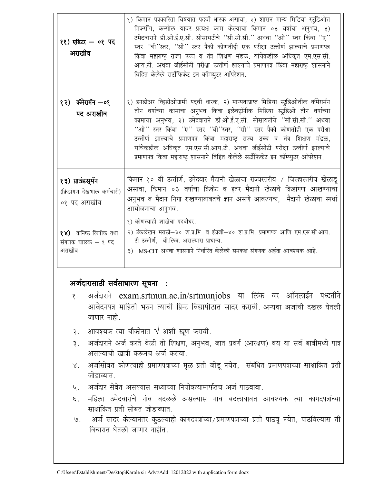| ११) एडिटर - ०१ पद<br>अराखीव                                     | १) किमान पत्रकारिता विषयात पदवी धारक असावा, २) शासन मान्य मिडिया स्टुडिओत<br>मिक्सींग, कन्सोल यावर प्रत्यक्ष काम केल्याचा किमान ०३ वर्षाचा अनुभव, ३)<br>उमेदवाराने डी.ओ.ई.ए.सी. सोसायटीचे ''सी.सी.सी.'' अथवा ''ओ'' स्तर किंवा ''ए''<br>स्तर ''बी''स्तर, ''सी'' स्तर पैकी कोणतीही एक परीक्षा उत्तीर्ण झाल्याचे प्रमाणपत्र<br>किंवा महाराष्ट्र राज्य उच्च व तंत्र शिक्षण मंडळ, यांचेकडील अधिकृत एम.एस.सी.<br>आय.टी. अथवा जीईसीटी परीक्षा उत्तीर्ण झाल्याचे प्रमाणपत्र किंवा महाराष्ट्र शासनाने<br>विहित केलेले सर्टीफिकेट इन कॉम्प्युटर ऑपरेशन.                           |
|-----------------------------------------------------------------|-------------------------------------------------------------------------------------------------------------------------------------------------------------------------------------------------------------------------------------------------------------------------------------------------------------------------------------------------------------------------------------------------------------------------------------------------------------------------------------------------------------------------------------------------------------------------|
| १२) कॅमेरामॅन –०१<br>पद अराखीव                                  | १) इनडोअर व्हिडीओग्रामी पदवी धारक, २) मान्यताप्राप्त मिडिया स्टुडिओतील कॅमेरामॅन<br>तीन वर्षाच्या कामाचा अनुभव किंवा इलेक्ट्रॉनीक मिडिया स्टुडिओ तीन वर्षाच्या<br>कामाचा अनुभव, ३) उमेदवाराने डी.ओ.ई.ए.सी. सोसायटीचे ''सी.सी.सी.'' अथवा<br>''ओ'' स्तर किंवा ''ए'' स्तर ''बी''स्तर, ''सी'' स्तर पैकी कोणतीही एक परीक्षा<br>उत्तीर्ण झाल्याचे प्रमाणपत्र किंवा महाराष्ट्र राज्य उच्च व तंत्र शिक्षण मंडळ,<br>यांचेकडील अधिकृत एम.एस.सी.आय.टी. अथवा जीईसीटी परीक्षा उत्तीर्ण झाल्याचे<br>प्रमाणपत्र किंवा महाराष्ट्र शासनाने विहित केलेले सर्टीफिकेट इन कॉम्प्युटर ऑपरेशन. |
| १३) ग्राउंडस्मॅन<br>(क्रिडांगण देखभाल कर्मचारी)<br>०१ पद अराखीव | किमान १० वी उत्तीर्ण, उमेदवार मैदानी खेळाचा राज्यस्तरीय / जिल्हास्तरीय खेळाडू<br>असावा, किमान ०३ वर्षाचा क्रिकेट व इतर मैदानी खेळाचे क्रिडांगण आखण्याचा<br>अनुभव व मैदान निगा राखण्याबाबतचे ज्ञान असणे आवश्यक,  मैदानी खेळाचा स्पर्धा<br>आयोजनाचा अनुभव.                                                                                                                                                                                                                                                                                                                |
| १४) कनिष्ठ लिपीक तथा<br>संगणक चालक - १ पद<br>अराखीव             | १) कोणत्याही शाखेचा पदवीधर.<br>२) टंकलेखन मराठी—३० श.प्र.मि. व इंग्रजी—४० श.प्र.मि. प्रमाणपत्र आणि एम.एस.सी.आय.<br>टी उत्तीर्ण, बी.लिब. असल्यास प्राधान्य.<br>३) MS-CIT अथवा शासनाने निर्धारित केलेली समकक्ष संगणक अर्हता आवश्यक आहे.                                                                                                                                                                                                                                                                                                                                   |

### अर्जदारासाठी सर्वसाधारण सूचना :

- अर्जदाराने exam.srtmun.ac.in/srtmunjobs या लिंक वर ऑनलाईन पध्दतीने  $\delta$ . आवेदनपत्र माहिती भरुन त्याची प्रिन्ट विद्यापीठात सादर करावी. अन्यथा अर्जाची दखल घेतली जाणार नाही.
- २. आवश्यक त्या चौकोनात  $\sqrt{}$  अशी खूण करावी.
- ३. अर्जदाराने अर्ज करते वेळी तो शिक्षण, अनुभव, जात प्रवर्ग (आरक्षण) वय या सर्व बाबीमध्ये पात्र असल्याची खात्री करूनच अर्ज करावा.
- अर्जासोबत कोणत्याही प्रमाणपत्राच्या मूळ प्रती जोडू नयेत, संबंधित प्रमाणपत्रांच्या साक्षांकित प्रती  $\chi$ . जोडाव्यात.
- ५. अर्जदार सेवेत असल्यास सध्याच्या नियोक्त्यामार्फतच अर्ज पाठवावा.
- महिला उमेदवारांचे नांव बदलले असल्यास नाव बदलाबाबत आवश्यक त्या कागदपत्रांच्या  $\epsilon$ . साक्षांकित प्रती सोबत जोडाव्यात.
- ७. अर्ज सादर केल्यानंतर कुठल्याही कागदपत्रांच्या/प्रमाणपत्रांच्या प्रती पाठवू नयेत, पाठविल्यास ती विचारात घेतली जाणार नाहीत.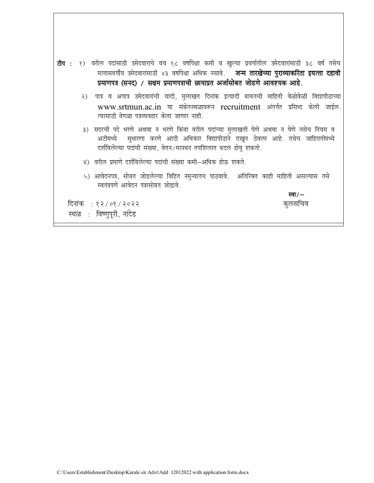टीप : १) वरील पदांसाठी उमेदवाराचे वय १८ वर्षापेक्षा कमी व खुल्या प्रवर्गातील उमेदवारांसाठी ३८ वर्ष तसेच मागासवर्गीय उमेदवारांसाठी ४३ वर्षापेक्षा अधिक नसावे. जन्म तारखेच्या पुराव्याकरिता इयत्ता दहावी प्रमाणपत्र (सनद) / सक्षम प्रमाणपत्राची छायाप्रत अर्जासोबत जोडणे आवश्यक आहे. २) पात्र व अपात्र उमेदवारांची यादी, मुलाखत दिनांक इत्यादी बाबतची माहिती वेळोवेळी विद्यापीठाच्या www.srtmun.ac.in या संकेतस्थळावरून recruitment अंतर्गत प्रसिध्द केली जाईल. त्यासाठी वेगळा पत्रव्यवहार केला जाणार नाही. ३) सदरची पदे भरणे अथवा न भरणे किंवा वरील पदांच्या मुलाखती घेणे अथवा न घेणे तसेच नियम व सुधारणा करणे आदी अधिकार विद्यापीठाने राखून ठेवला आहे. तसेच जाहिरातीमध्ये अटीमध्ये दर्शविलेल्या पदांची संख्या, वेतन/मानधन तपशिलात बदल होवू शकतो. ४) वरील प्रमाणे दर्शविलेल्या पदांची संख्या कमी-अधिक होऊ शकते. ५) आवेदनपत्र, सोबत जोडलेल्या विहित नमुन्यातच पाठवावे. अतिरिक्त काही माहिती असल्यास तसे स्वतंत्रपणे आवेदन पत्रासोबत जोडावे. स्वा $/$ दिनांक : १२/०१/२०२२ कुलसचिव स्थळ: विष्णुपूरी, नांदेड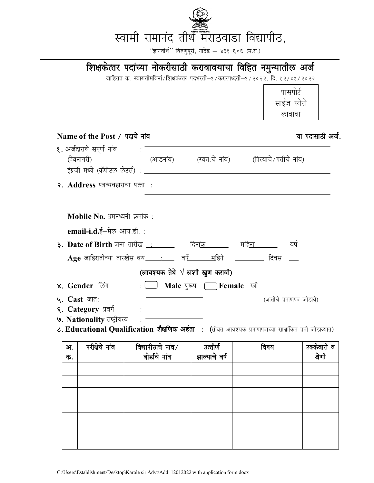

 $^{\prime}$ 'ज्ञानतीर्थ'' विश्णुपूरी, नांदेड – ४३१ ६०६ (म.रा.)

## **शिक्षकेत्तर पदांच्या नोकरीसाठी करावावयाचा विहित नमुन्यातील अर्ज** जाहिरात क्र. स्वारातीमविनां/शिक्षकेत्तर पदभरती—१/करारपध्दती—१/२०२२, दि. १२/०१/२०२२ **Name of the Post** / पदाचे नांव <u>कार्यक्रम कार्यक्रम कार्यक्रम कार्यक्रम का</u>र्यायात्री अर्ज. **१.** अर्जदाराचे संपर्ण नांव $\cdot$ (देवनागरी) (आडनांव) (स्वत:चे नांव) (पित्याचे/पतीचे नांव) bax zth e/;s ¼dWihVy ysVl Z½ % **2. Address** पत्रव्यवहाराचा पत्ता : Mobile No. भ्रमनध्वनी क्रमांक**ः email-i.d.**ई—मेल आय.डी. : **3- Date of Birth** tUe rkjh[k % fnuk ad efguk o"kZ  $\bf{Age}$  जाहिरातीच्या तारखेस वय\_\_\_\_\_\_\_\_\_\_\_ वर्षे\_\_\_\_\_\_\_\_\_\_\_हिने \_\_\_\_\_\_\_\_\_ दिवस \_\_\_ **(आवश्यक तेथे √ अशी खुण करावी) 4. Gender लिंग 1. ■ Male** पुरूष ⅠFemale स्त्री **5- Cast** tkr% ¼tkrhp s i zek.ki= tk sMkos½ **६. Category प्रवर्ग 9. Nationality** राष्ट्रीयत्व $\cdot$ = *८***. Educational Qualification शैक्षणिक अर्हता : (सोबत आवश्यक प्रमाणपत्राच्या साक्षांकित प्रती जोडाव्यात) अ**. **क**. **ijh{ksps uk ao fo|kihBkp s uk ao@ बोर्डाचे** नांव उत्तीर्ण झाल्याचे वर्ष **fo"k; VDdsokjh o**  श्रेणी पासपोर्ट साईज फोटो लावा